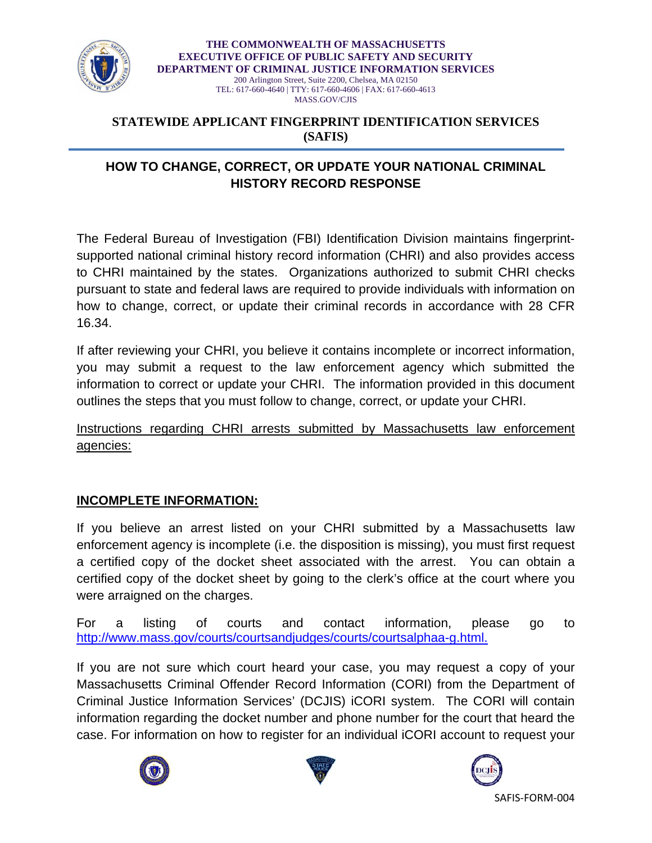

**THE COMMONWEALTH OF MASSACHUSETTS EXECUTIVE OFFICE OF PUBLIC SAFETY AND SECURITY DEPARTMENT OF CRIMINAL JUSTICE INFORMATION SERVICES**  200 Arlington Street, Suite 2200, Chelsea, MA 02150 TEL: 617-660-4640 | TTY: 617-660-4606 | FAX: 617-660-4613 MASS.GOV/CJIS

#### **STATEWIDE APPLICANT FINGERPRINT IDENTIFICATION SERVICES (SAFIS)**

## **HOW TO CHANGE, CORRECT, OR UPDATE YOUR NATIONAL CRIMINAL HISTORY RECORD RESPONSE**

The Federal Bureau of Investigation (FBI) Identification Division maintains fingerprintsupported national criminal history record information (CHRI) and also provides access to CHRI maintained by the states. Organizations authorized to submit CHRI checks pursuant to state and federal laws are required to provide individuals with information on how to change, correct, or update their criminal records in accordance with 28 CFR 16.34.

If after reviewing your CHRI, you believe it contains incomplete or incorrect information, you may submit a request to the law enforcement agency which submitted the information to correct or update your CHRI. The information provided in this document outlines the steps that you must follow to change, correct, or update your CHRI.

Instructions regarding CHRI arrests submitted by Massachusetts law enforcement agencies:

## **INCOMPLETE INFORMATION:**

If you believe an arrest listed on your CHRI submitted by a Massachusetts law enforcement agency is incomplete (i.e. the disposition is missing), you must first request a certified copy of the docket sheet associated with the arrest. You can obtain a certified copy of the docket sheet by going to the clerk's office at the court where you were arraigned on the charges.

For a listing of courts and contact information, please go to http://www.mass.gov/courts/courtsandjudges/courts/courtsalphaa-g.html.

If you are not sure which court heard your case, you may request a copy of your Massachusetts Criminal Offender Record Information (CORI) from the Department of Criminal Justice Information Services' (DCJIS) iCORI system. The CORI will contain information regarding the docket number and phone number for the court that heard the case. For information on how to register for an individual iCORI account to request your





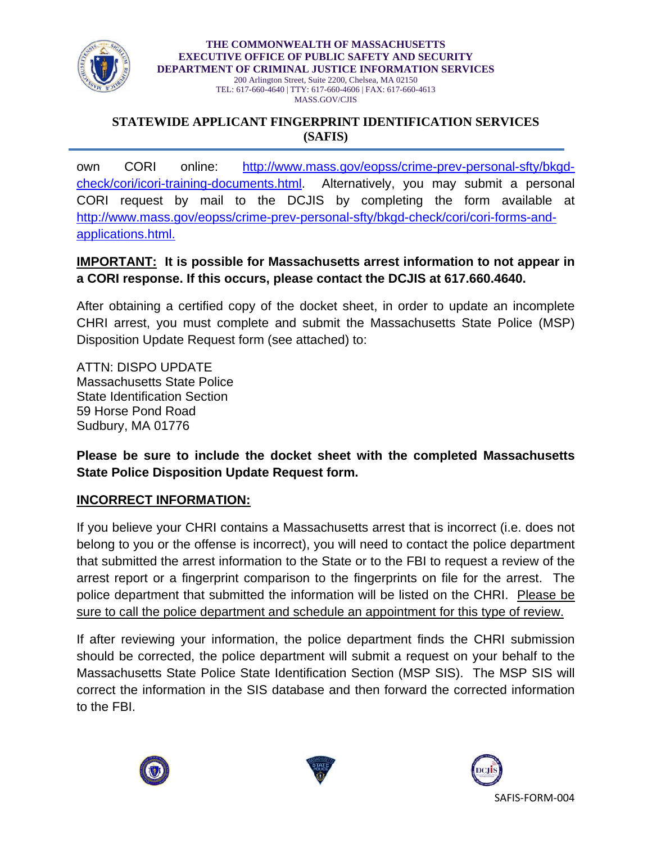

**THE COMMONWEALTH OF MASSACHUSETTS EXECUTIVE OFFICE OF PUBLIC SAFETY AND SECURITY DEPARTMENT OF CRIMINAL JUSTICE INFORMATION SERVICES**  200 Arlington Street, Suite 2200, Chelsea, MA 02150 TEL: 617-660-4640 | TTY: 617-660-4606 | FAX: 617-660-4613

MASS.GOV/CJIS

#### **STATEWIDE APPLICANT FINGERPRINT IDENTIFICATION SERVICES (SAFIS)**

own CORI online: http://www.mass.gov/eopss/crime-prev-personal-sfty/bkgdcheck/cori/icori-training-documents.html. Alternatively, you may submit a personal CORI request by mail to the DCJIS by completing the form available at http://www.mass.gov/eopss/crime-prev-personal-sfty/bkgd-check/cori/cori-forms-andapplications.html.

## **IMPORTANT: It is possible for Massachusetts arrest information to not appear in a CORI response. If this occurs, please contact the DCJIS at 617.660.4640.**

After obtaining a certified copy of the docket sheet, in order to update an incomplete CHRI arrest, you must complete and submit the Massachusetts State Police (MSP) Disposition Update Request form (see attached) to:

ATTN: DISPO UPDATE Massachusetts State Police State Identification Section 59 Horse Pond Road Sudbury, MA 01776

**Please be sure to include the docket sheet with the completed Massachusetts State Police Disposition Update Request form.** 

# **INCORRECT INFORMATION:**

If you believe your CHRI contains a Massachusetts arrest that is incorrect (i.e. does not belong to you or the offense is incorrect), you will need to contact the police department that submitted the arrest information to the State or to the FBI to request a review of the arrest report or a fingerprint comparison to the fingerprints on file for the arrest. The police department that submitted the information will be listed on the CHRI. Please be sure to call the police department and schedule an appointment for this type of review.

If after reviewing your information, the police department finds the CHRI submission should be corrected, the police department will submit a request on your behalf to the Massachusetts State Police State Identification Section (MSP SIS). The MSP SIS will correct the information in the SIS database and then forward the corrected information to the FBI.





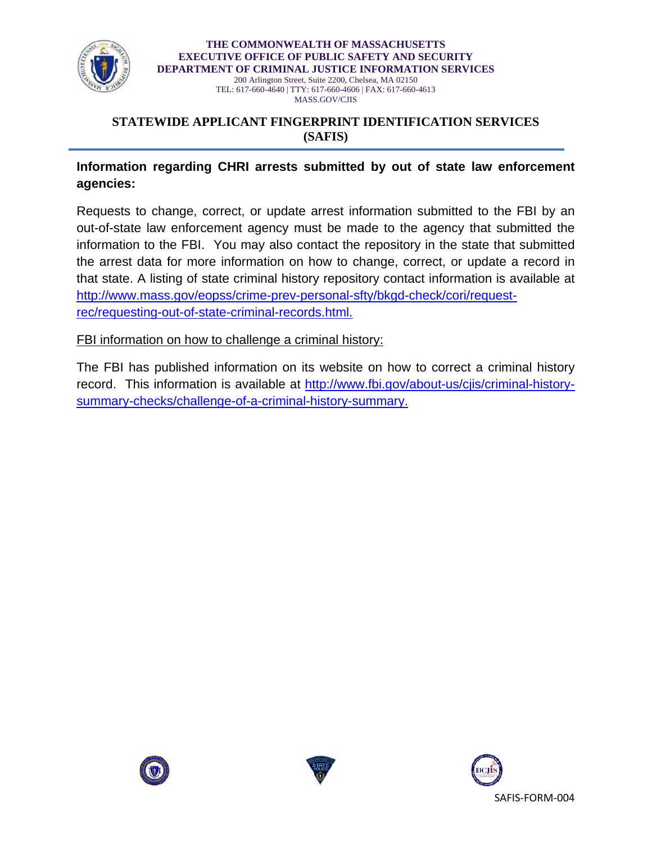

**THE COMMONWEALTH OF MASSACHUSETTS EXECUTIVE OFFICE OF PUBLIC SAFETY AND SECURITY DEPARTMENT OF CRIMINAL JUSTICE INFORMATION SERVICES**  200 Arlington Street, Suite 2200, Chelsea, MA 02150 TEL: 617-660-4640 | TTY: 617-660-4606 | FAX: 617-660-4613 MASS.GOV/CJIS

#### **STATEWIDE APPLICANT FINGERPRINT IDENTIFICATION SERVICES (SAFIS)**

## **Information regarding CHRI arrests submitted by out of state law enforcement agencies:**

Requests to change, correct, or update arrest information submitted to the FBI by an out-of-state law enforcement agency must be made to the agency that submitted the information to the FBI. You may also contact the repository in the state that submitted the arrest data for more information on how to change, correct, or update a record in that state. A listing of state criminal history repository contact information is available at http://www.mass.gov/eopss/crime-prev-personal-sfty/bkgd-check/cori/requestrec/requesting-out-of-state-criminal-records.html.

FBI information on how to challenge a criminal history:

The FBI has published information on its website on how to correct a criminal history record. This information is available at http://www.fbi.gov/about-us/cjis/criminal-historysummary-checks/challenge-of-a-criminal-history-summary.